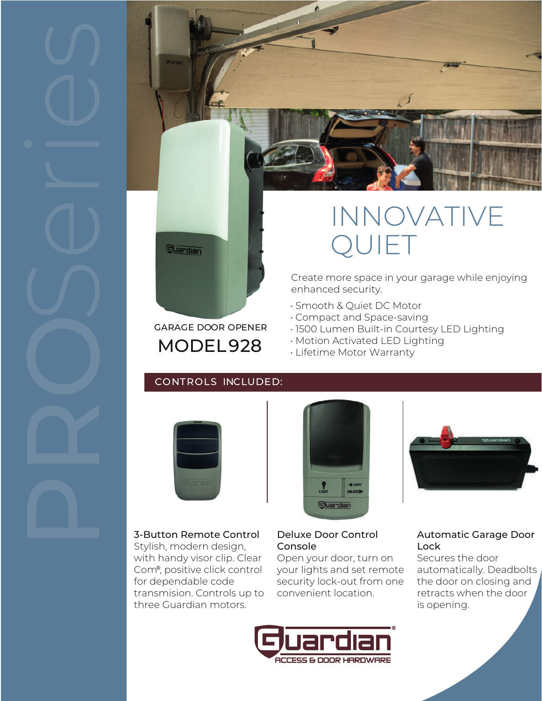

## GARAGE DOOR OPENER MODEL 928

# INNOVATIVE QUIET

Create more space in your garage while enjoying enhanced security.

- Smooth & Quiet DC Motor
- Compact and Space-saving
- 1500 Lumen Built-in Courtesy LED Lighting
- Motion Activated LED Lighting
- Lifetime Motor Warranty

## CONTROLS INCLUDED:



## 3-Button Remote Control

Stylish, modern design, with handy visor clip. Clear Com<sup>®</sup>, positive click control for dependable code transmision. Controls up to three Guardian motors.





## Deluxe Door Control Console

Open your door, turn on your lights and set remote security lock-out from one convenient location.



## Automatic Garage Door Lock

Secures the door automatically. Deadbolts the door on closing and retracts when the door is opening.